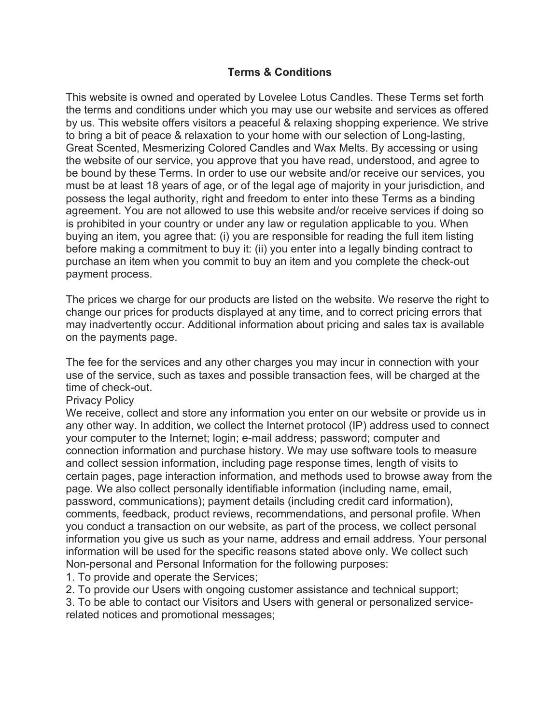## **Terms & Conditions**

This website is owned and operated by Lovelee Lotus Candles. These Terms set forth the terms and conditions under which you may use our website and services as offered by us. This website offers visitors a peaceful & relaxing shopping experience. We strive to bring a bit of peace & relaxation to your home with our selection of Long-lasting, Great Scented, Mesmerizing Colored Candles and Wax Melts. By accessing or using the website of our service, you approve that you have read, understood, and agree to be bound by these Terms. In order to use our website and/or receive our services, you must be at least 18 years of age, or of the legal age of majority in your jurisdiction, and possess the legal authority, right and freedom to enter into these Terms as a binding agreement. You are not allowed to use this website and/or receive services if doing so is prohibited in your country or under any law or regulation applicable to you. When buying an item, you agree that: (i) you are responsible for reading the full item listing before making a commitment to buy it: (ii) you enter into a legally binding contract to purchase an item when you commit to buy an item and you complete the check-out payment process.

The prices we charge for our products are listed on the website. We reserve the right to change our prices for products displayed at any time, and to correct pricing errors that may inadvertently occur. Additional information about pricing and sales tax is available on the payments page.

The fee for the services and any other charges you may incur in connection with your use of the service, such as taxes and possible transaction fees, will be charged at the time of check-out.

Privacy Policy

We receive, collect and store any information you enter on our website or provide us in any other way. In addition, we collect the Internet protocol (IP) address used to connect your computer to the Internet; login; e-mail address; password; computer and connection information and purchase history. We may use software tools to measure and collect session information, including page response times, length of visits to certain pages, page interaction information, and methods used to browse away from the page. We also collect personally identifiable information (including name, email, password, communications); payment details (including credit card information), comments, feedback, product reviews, recommendations, and personal profile. When you conduct a transaction on our website, as part of the process, we collect personal information you give us such as your name, address and email address. Your personal information will be used for the specific reasons stated above only. We collect such Non-personal and Personal Information for the following purposes:

1. To provide and operate the Services;

2. To provide our Users with ongoing customer assistance and technical support;

3. To be able to contact our Visitors and Users with general or personalized servicerelated notices and promotional messages;